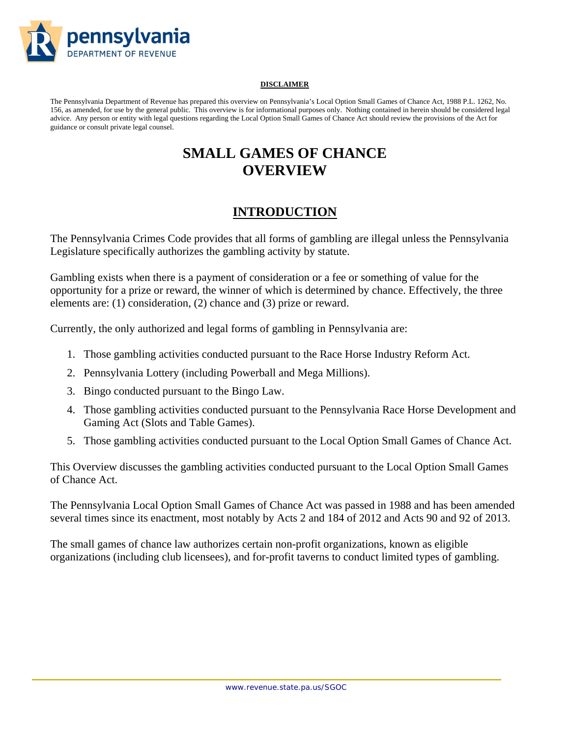

#### **DISCLAIMER**

The Pennsylvania Department of Revenue has prepared this overview on Pennsylvania's Local Option Small Games of Chance Act, 1988 P.L. 1262, No. 156, as amended, for use by the general public. This overview is for informational purposes only. Nothing contained in herein should be considered legal advice. Any person or entity with legal questions regarding the Local Option Small Games of Chance Act should review the provisions of the Act for guidance or consult private legal counsel.

# **SMALL GAMES OF CHANCE OVERVIEW**

## **INTRODUCTION**

The Pennsylvania Crimes Code provides that all forms of gambling are illegal unless the Pennsylvania Legislature specifically authorizes the gambling activity by statute.

Gambling exists when there is a payment of consideration or a fee or something of value for the opportunity for a prize or reward, the winner of which is determined by chance. Effectively, the three elements are: (1) consideration, (2) chance and (3) prize or reward.

Currently, the only authorized and legal forms of gambling in Pennsylvania are:

- 1. Those gambling activities conducted pursuant to the Race Horse Industry Reform Act.
- 2. Pennsylvania Lottery (including Powerball and Mega Millions).
- 3. Bingo conducted pursuant to the Bingo Law.
- 4. Those gambling activities conducted pursuant to the Pennsylvania Race Horse Development and Gaming Act (Slots and Table Games).
- 5. Those gambling activities conducted pursuant to the Local Option Small Games of Chance Act.

This Overview discusses the gambling activities conducted pursuant to the Local Option Small Games of Chance Act.

The Pennsylvania Local Option Small Games of Chance Act was passed in 1988 and has been amended several times since its enactment, most notably by Acts 2 and 184 of 2012 and Acts 90 and 92 of 2013.

The small games of chance law authorizes certain non-profit organizations, known as eligible organizations (including club licensees), and for-profit taverns to conduct limited types of gambling.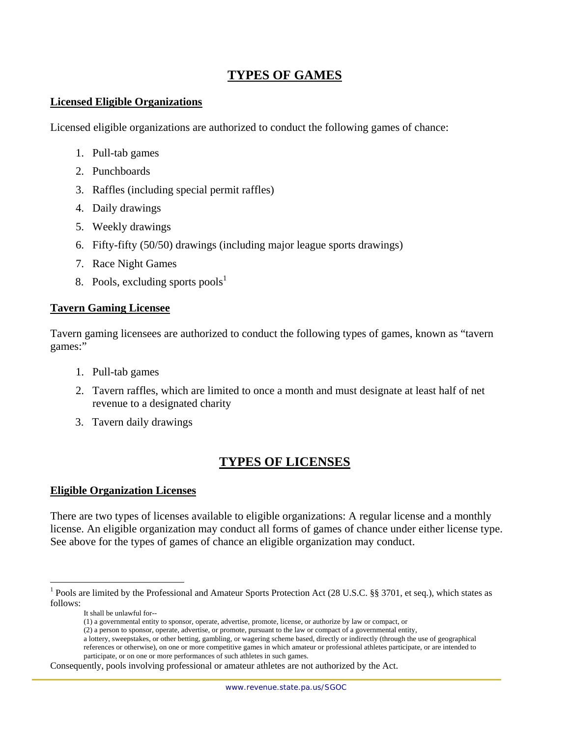## **TYPES OF GAMES**

### **Licensed Eligible Organizations**

Licensed eligible organizations are authorized to conduct the following games of chance:

- 1. Pull-tab games
- 2. Punchboards
- 3. Raffles (including special permit raffles)
- 4. Daily drawings
- 5. Weekly drawings
- 6. Fifty-fifty (50/50) drawings (including major league sports drawings)
- 7. Race Night Games
- 8. Pools, excluding sports pools<sup>1</sup>

#### **Tavern Gaming Licensee**

Tavern gaming licensees are authorized to conduct the following types of games, known as "tavern games:"

- 1. Pull-tab games
- 2. Tavern raffles, which are limited to once a month and must designate at least half of net revenue to a designated charity
- 3. Tavern daily drawings

## **TYPES OF LICENSES**

#### **Eligible Organization Licenses**

There are two types of licenses available to eligible organizations: A regular license and a monthly license. An eligible organization may conduct all forms of games of chance under either license type. See above for the types of games of chance an eligible organization may conduct.

 $\overline{a}$ 

Consequently, pools involving professional or amateur athletes are not authorized by the Act.

<sup>&</sup>lt;sup>1</sup> Pools are limited by the Professional and Amateur Sports Protection Act (28 U.S.C. §§ 3701, et seq.), which states as follows:

It shall be unlawful for--

<sup>(1)</sup> a governmental entity to sponsor, operate, advertise, promote, license, or authorize by law or compact, or

<sup>(2)</sup> a person to sponsor, operate, advertise, or promote, pursuant to the law or compact of a governmental entity,

a lottery, sweepstakes, or other betting, gambling, or wagering scheme based, directly or indirectly (through the use of geographical references or otherwise), on one or more competitive games in which amateur or professional athletes participate, or are intended to participate, or on one or more performances of such athletes in such games.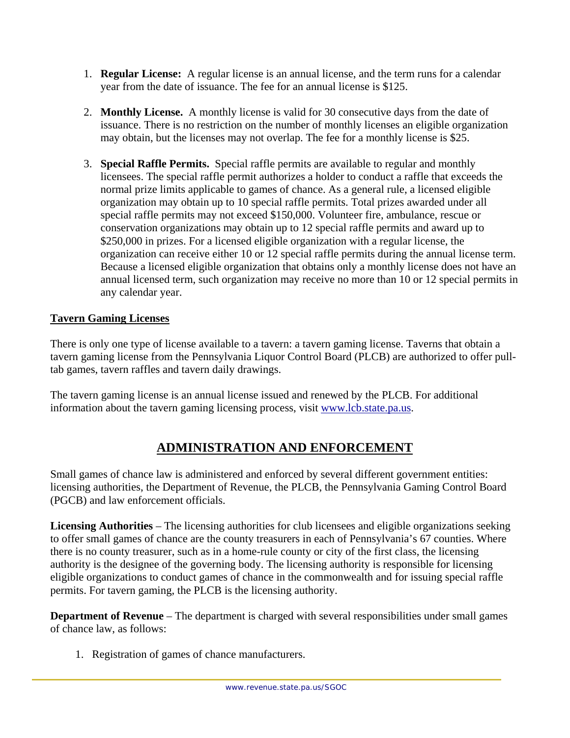- 1. **Regular License:** A regular license is an annual license, and the term runs for a calendar year from the date of issuance. The fee for an annual license is \$125.
- 2. **Monthly License.** A monthly license is valid for 30 consecutive days from the date of issuance. There is no restriction on the number of monthly licenses an eligible organization may obtain, but the licenses may not overlap. The fee for a monthly license is \$25.
- 3. **Special Raffle Permits.** Special raffle permits are available to regular and monthly licensees. The special raffle permit authorizes a holder to conduct a raffle that exceeds the normal prize limits applicable to games of chance. As a general rule, a licensed eligible organization may obtain up to 10 special raffle permits. Total prizes awarded under all special raffle permits may not exceed \$150,000. Volunteer fire, ambulance, rescue or conservation organizations may obtain up to 12 special raffle permits and award up to \$250,000 in prizes. For a licensed eligible organization with a regular license, the organization can receive either 10 or 12 special raffle permits during the annual license term. Because a licensed eligible organization that obtains only a monthly license does not have an annual licensed term, such organization may receive no more than 10 or 12 special permits in any calendar year.

## **Tavern Gaming Licenses**

There is only one type of license available to a tavern: a tavern gaming license. Taverns that obtain a tavern gaming license from the Pennsylvania Liquor Control Board (PLCB) are authorized to offer pulltab games, tavern raffles and tavern daily drawings.

The tavern gaming license is an annual license issued and renewed by the PLCB. For additional information about the tavern gaming licensing process, visit www.lcb.state.pa.us.

# **ADMINISTRATION AND ENFORCEMENT**

Small games of chance law is administered and enforced by several different government entities: licensing authorities, the Department of Revenue, the PLCB, the Pennsylvania Gaming Control Board (PGCB) and law enforcement officials.

**Licensing Authorities** – The licensing authorities for club licensees and eligible organizations seeking to offer small games of chance are the county treasurers in each of Pennsylvania's 67 counties. Where there is no county treasurer, such as in a home-rule county or city of the first class, the licensing authority is the designee of the governing body. The licensing authority is responsible for licensing eligible organizations to conduct games of chance in the commonwealth and for issuing special raffle permits. For tavern gaming, the PLCB is the licensing authority.

**Department of Revenue** – The department is charged with several responsibilities under small games of chance law, as follows:

1. Registration of games of chance manufacturers.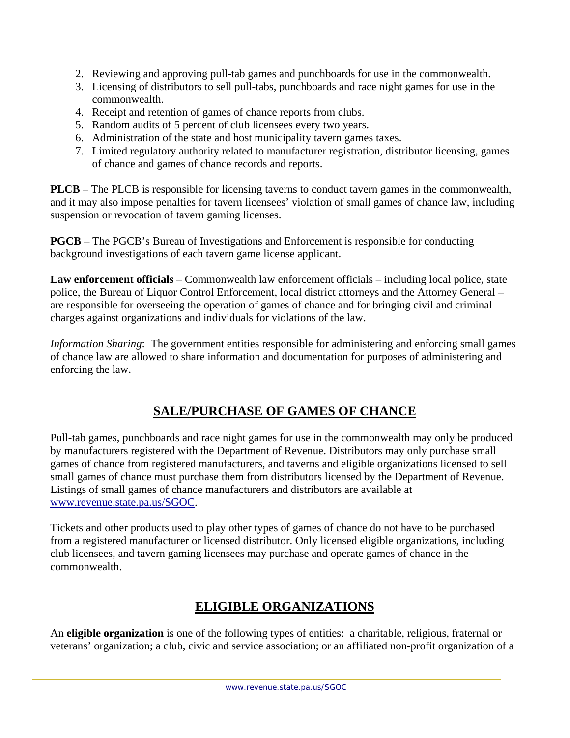- 2. Reviewing and approving pull-tab games and punchboards for use in the commonwealth.
- 3. Licensing of distributors to sell pull-tabs, punchboards and race night games for use in the commonwealth.
- 4. Receipt and retention of games of chance reports from clubs.
- 5. Random audits of 5 percent of club licensees every two years.
- 6. Administration of the state and host municipality tavern games taxes.
- 7. Limited regulatory authority related to manufacturer registration, distributor licensing, games of chance and games of chance records and reports.

**PLCB** – The PLCB is responsible for licensing taverns to conduct tavern games in the commonwealth, and it may also impose penalties for tavern licensees' violation of small games of chance law, including suspension or revocation of tavern gaming licenses.

**PGCB** – The PGCB's Bureau of Investigations and Enforcement is responsible for conducting background investigations of each tavern game license applicant.

**Law enforcement officials** – Commonwealth law enforcement officials – including local police, state police, the Bureau of Liquor Control Enforcement, local district attorneys and the Attorney General – are responsible for overseeing the operation of games of chance and for bringing civil and criminal charges against organizations and individuals for violations of the law.

*Information Sharing*: The government entities responsible for administering and enforcing small games of chance law are allowed to share information and documentation for purposes of administering and enforcing the law.

# **SALE/PURCHASE OF GAMES OF CHANCE**

Pull-tab games, punchboards and race night games for use in the commonwealth may only be produced by manufacturers registered with the Department of Revenue. Distributors may only purchase small games of chance from registered manufacturers, and taverns and eligible organizations licensed to sell small games of chance must purchase them from distributors licensed by the Department of Revenue. Listings of small games of chance manufacturers and distributors are available at www.revenue.state.pa.us/SGOC.

Tickets and other products used to play other types of games of chance do not have to be purchased from a registered manufacturer or licensed distributor. Only licensed eligible organizations, including club licensees, and tavern gaming licensees may purchase and operate games of chance in the commonwealth.

# **ELIGIBLE ORGANIZATIONS**

An **eligible organization** is one of the following types of entities: a charitable, religious, fraternal or veterans' organization; a club, civic and service association; or an affiliated non-profit organization of a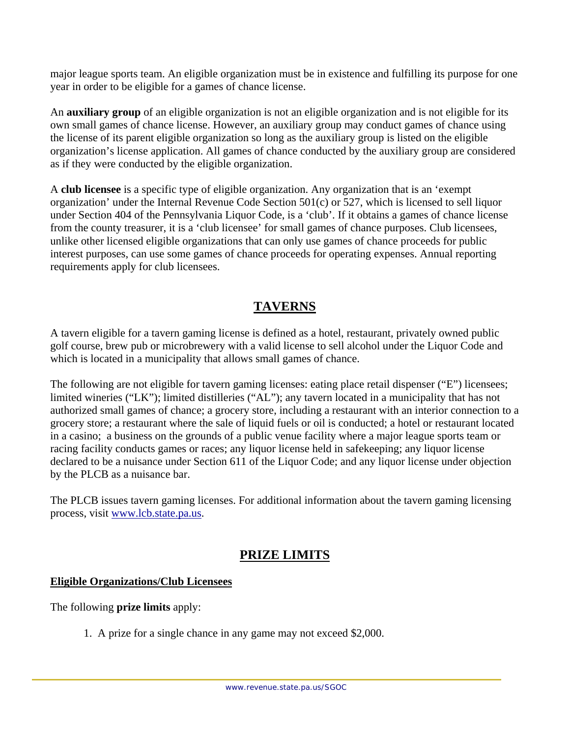major league sports team. An eligible organization must be in existence and fulfilling its purpose for one year in order to be eligible for a games of chance license.

An **auxiliary group** of an eligible organization is not an eligible organization and is not eligible for its own small games of chance license. However, an auxiliary group may conduct games of chance using the license of its parent eligible organization so long as the auxiliary group is listed on the eligible organization's license application. All games of chance conducted by the auxiliary group are considered as if they were conducted by the eligible organization.

A **club licensee** is a specific type of eligible organization. Any organization that is an 'exempt organization' under the Internal Revenue Code Section 501(c) or 527, which is licensed to sell liquor under Section 404 of the Pennsylvania Liquor Code, is a 'club'. If it obtains a games of chance license from the county treasurer, it is a 'club licensee' for small games of chance purposes. Club licensees, unlike other licensed eligible organizations that can only use games of chance proceeds for public interest purposes, can use some games of chance proceeds for operating expenses. Annual reporting requirements apply for club licensees.

# **TAVERNS**

A tavern eligible for a tavern gaming license is defined as a hotel, restaurant, privately owned public golf course, brew pub or microbrewery with a valid license to sell alcohol under the Liquor Code and which is located in a municipality that allows small games of chance.

The following are not eligible for tavern gaming licenses: eating place retail dispenser ("E") licensees; limited wineries ("LK"); limited distilleries ("AL"); any tavern located in a municipality that has not authorized small games of chance; a grocery store, including a restaurant with an interior connection to a grocery store; a restaurant where the sale of liquid fuels or oil is conducted; a hotel or restaurant located in a casino; a business on the grounds of a public venue facility where a major league sports team or racing facility conducts games or races; any liquor license held in safekeeping; any liquor license declared to be a nuisance under Section 611 of the Liquor Code; and any liquor license under objection by the PLCB as a nuisance bar.

The PLCB issues tavern gaming licenses. For additional information about the tavern gaming licensing process, visit www.lcb.state.pa.us.

# **PRIZE LIMITS**

## **Eligible Organizations/Club Licensees**

The following **prize limits** apply:

1. A prize for a single chance in any game may not exceed \$2,000.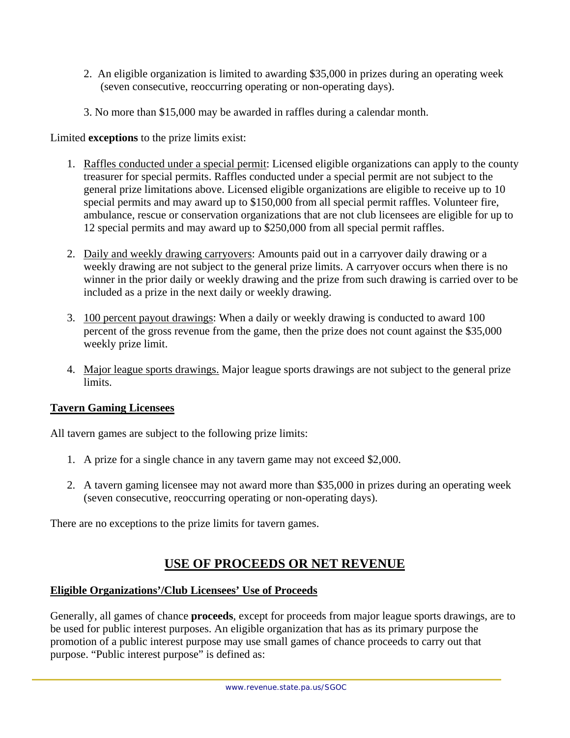- 2. An eligible organization is limited to awarding \$35,000 in prizes during an operating week (seven consecutive, reoccurring operating or non-operating days).
- 3. No more than \$15,000 may be awarded in raffles during a calendar month.

### Limited **exceptions** to the prize limits exist:

- 1. Raffles conducted under a special permit: Licensed eligible organizations can apply to the county treasurer for special permits. Raffles conducted under a special permit are not subject to the general prize limitations above. Licensed eligible organizations are eligible to receive up to 10 special permits and may award up to \$150,000 from all special permit raffles. Volunteer fire, ambulance, rescue or conservation organizations that are not club licensees are eligible for up to 12 special permits and may award up to \$250,000 from all special permit raffles.
- 2. Daily and weekly drawing carryovers: Amounts paid out in a carryover daily drawing or a weekly drawing are not subject to the general prize limits. A carryover occurs when there is no winner in the prior daily or weekly drawing and the prize from such drawing is carried over to be included as a prize in the next daily or weekly drawing.
- 3. 100 percent payout drawings: When a daily or weekly drawing is conducted to award 100 percent of the gross revenue from the game, then the prize does not count against the \$35,000 weekly prize limit.
- 4. Major league sports drawings. Major league sports drawings are not subject to the general prize limits.

### **Tavern Gaming Licensees**

All tavern games are subject to the following prize limits:

- 1. A prize for a single chance in any tavern game may not exceed \$2,000.
- 2. A tavern gaming licensee may not award more than \$35,000 in prizes during an operating week (seven consecutive, reoccurring operating or non-operating days).

There are no exceptions to the prize limits for tavern games.

## **USE OF PROCEEDS OR NET REVENUE**

#### **Eligible Organizations'/Club Licensees' Use of Proceeds**

Generally, all games of chance **proceeds**, except for proceeds from major league sports drawings, are to be used for public interest purposes. An eligible organization that has as its primary purpose the promotion of a public interest purpose may use small games of chance proceeds to carry out that purpose. "Public interest purpose" is defined as: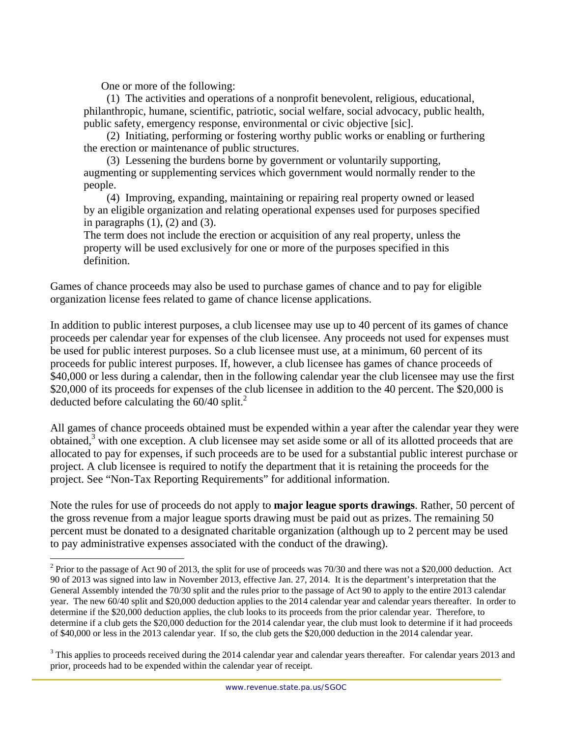One or more of the following:

 $\overline{a}$ 

(1) The activities and operations of a nonprofit benevolent, religious, educational, philanthropic, humane, scientific, patriotic, social welfare, social advocacy, public health, public safety, emergency response, environmental or civic objective [sic].

(2) Initiating, performing or fostering worthy public works or enabling or furthering the erection or maintenance of public structures.

(3) Lessening the burdens borne by government or voluntarily supporting, augmenting or supplementing services which government would normally render to the people.

(4) Improving, expanding, maintaining or repairing real property owned or leased by an eligible organization and relating operational expenses used for purposes specified in paragraphs  $(1)$ ,  $(2)$  and  $(3)$ .

The term does not include the erection or acquisition of any real property, unless the property will be used exclusively for one or more of the purposes specified in this definition.

Games of chance proceeds may also be used to purchase games of chance and to pay for eligible organization license fees related to game of chance license applications.

In addition to public interest purposes, a club licensee may use up to 40 percent of its games of chance proceeds per calendar year for expenses of the club licensee. Any proceeds not used for expenses must be used for public interest purposes. So a club licensee must use, at a minimum, 60 percent of its proceeds for public interest purposes. If, however, a club licensee has games of chance proceeds of \$40,000 or less during a calendar, then in the following calendar year the club licensee may use the first \$20,000 of its proceeds for expenses of the club licensee in addition to the 40 percent. The \$20,000 is deducted before calculating the  $60/40$  split.<sup>2</sup>

All games of chance proceeds obtained must be expended within a year after the calendar year they were obtained,<sup>3</sup> with one exception. A club licensee may set aside some or all of its allotted proceeds that are allocated to pay for expenses, if such proceeds are to be used for a substantial public interest purchase or project. A club licensee is required to notify the department that it is retaining the proceeds for the project. See "Non-Tax Reporting Requirements" for additional information.

Note the rules for use of proceeds do not apply to **major league sports drawings**. Rather, 50 percent of the gross revenue from a major league sports drawing must be paid out as prizes. The remaining 50 percent must be donated to a designated charitable organization (although up to 2 percent may be used to pay administrative expenses associated with the conduct of the drawing).

<sup>&</sup>lt;sup>2</sup> Prior to the passage of Act 90 of 2013, the split for use of proceeds was 70/30 and there was not a \$20,000 deduction. Act 90 of 2013 was signed into law in November 2013, effective Jan. 27, 2014. It is the department's interpretation that the General Assembly intended the 70/30 split and the rules prior to the passage of Act 90 to apply to the entire 2013 calendar year. The new 60/40 split and \$20,000 deduction applies to the 2014 calendar year and calendar years thereafter. In order to determine if the \$20,000 deduction applies, the club looks to its proceeds from the prior calendar year. Therefore, to determine if a club gets the \$20,000 deduction for the 2014 calendar year, the club must look to determine if it had proceeds of \$40,000 or less in the 2013 calendar year. If so, the club gets the \$20,000 deduction in the 2014 calendar year.

 $3$  This applies to proceeds received during the 2014 calendar year and calendar years thereafter. For calendar years 2013 and prior, proceeds had to be expended within the calendar year of receipt.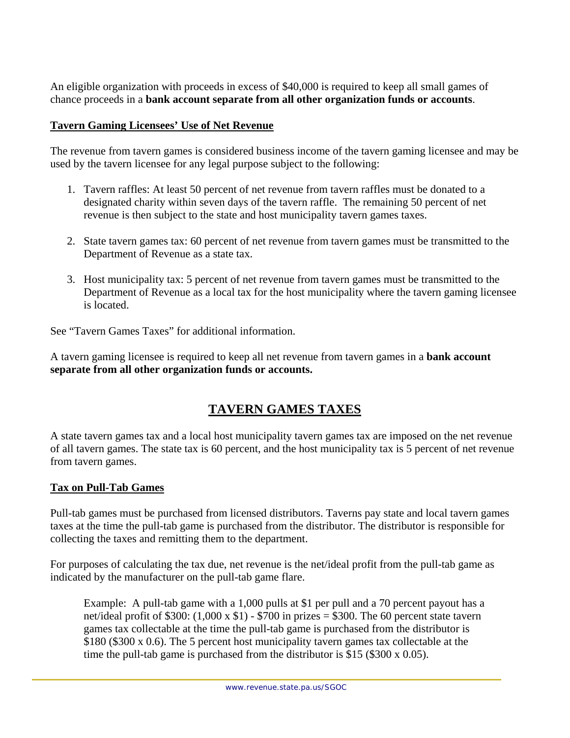An eligible organization with proceeds in excess of \$40,000 is required to keep all small games of chance proceeds in a **bank account separate from all other organization funds or accounts**.

### **Tavern Gaming Licensees' Use of Net Revenue**

The revenue from tavern games is considered business income of the tavern gaming licensee and may be used by the tavern licensee for any legal purpose subject to the following:

- 1. Tavern raffles: At least 50 percent of net revenue from tavern raffles must be donated to a designated charity within seven days of the tavern raffle. The remaining 50 percent of net revenue is then subject to the state and host municipality tavern games taxes.
- 2. State tavern games tax: 60 percent of net revenue from tavern games must be transmitted to the Department of Revenue as a state tax.
- 3. Host municipality tax: 5 percent of net revenue from tavern games must be transmitted to the Department of Revenue as a local tax for the host municipality where the tavern gaming licensee is located.

See "Tavern Games Taxes" for additional information.

A tavern gaming licensee is required to keep all net revenue from tavern games in a **bank account separate from all other organization funds or accounts.** 

# **TAVERN GAMES TAXES**

A state tavern games tax and a local host municipality tavern games tax are imposed on the net revenue of all tavern games. The state tax is 60 percent, and the host municipality tax is 5 percent of net revenue from tavern games.

## **Tax on Pull-Tab Games**

Pull-tab games must be purchased from licensed distributors. Taverns pay state and local tavern games taxes at the time the pull-tab game is purchased from the distributor. The distributor is responsible for collecting the taxes and remitting them to the department.

For purposes of calculating the tax due, net revenue is the net/ideal profit from the pull-tab game as indicated by the manufacturer on the pull-tab game flare.

Example: A pull-tab game with a 1,000 pulls at \$1 per pull and a 70 percent payout has a net/ideal profit of \$300:  $(1,000 \times $1)$  - \$700 in prizes = \$300. The 60 percent state tavern games tax collectable at the time the pull-tab game is purchased from the distributor is \$180 (\$300 x 0.6). The 5 percent host municipality tavern games tax collectable at the time the pull-tab game is purchased from the distributor is \$15 (\$300 x 0.05).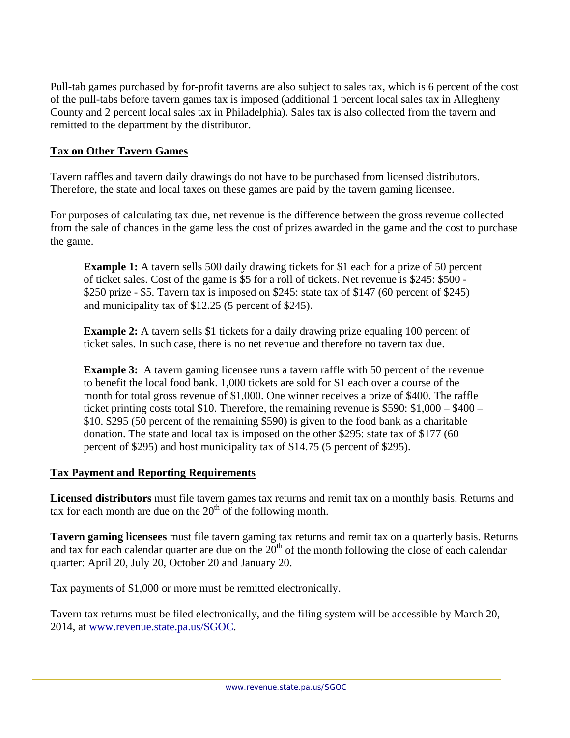Pull-tab games purchased by for-profit taverns are also subject to sales tax, which is 6 percent of the cost of the pull-tabs before tavern games tax is imposed (additional 1 percent local sales tax in Allegheny County and 2 percent local sales tax in Philadelphia). Sales tax is also collected from the tavern and remitted to the department by the distributor.

### **Tax on Other Tavern Games**

Tavern raffles and tavern daily drawings do not have to be purchased from licensed distributors. Therefore, the state and local taxes on these games are paid by the tavern gaming licensee.

For purposes of calculating tax due, net revenue is the difference between the gross revenue collected from the sale of chances in the game less the cost of prizes awarded in the game and the cost to purchase the game.

**Example 1:** A tavern sells 500 daily drawing tickets for \$1 each for a prize of 50 percent of ticket sales. Cost of the game is \$5 for a roll of tickets. Net revenue is \$245: \$500 - \$250 prize - \$5. Tavern tax is imposed on \$245: state tax of \$147 (60 percent of \$245) and municipality tax of \$12.25 (5 percent of \$245).

**Example 2:** A tavern sells \$1 tickets for a daily drawing prize equaling 100 percent of ticket sales. In such case, there is no net revenue and therefore no tavern tax due.

**Example 3:** A tavern gaming licensee runs a tavern raffle with 50 percent of the revenue to benefit the local food bank. 1,000 tickets are sold for \$1 each over a course of the month for total gross revenue of \$1,000. One winner receives a prize of \$400. The raffle ticket printing costs total \$10. Therefore, the remaining revenue is \$590: \$1,000 – \$400 – \$10. \$295 (50 percent of the remaining \$590) is given to the food bank as a charitable donation. The state and local tax is imposed on the other \$295: state tax of \$177 (60 percent of \$295) and host municipality tax of \$14.75 (5 percent of \$295).

### **Tax Payment and Reporting Requirements**

**Licensed distributors** must file tavern games tax returns and remit tax on a monthly basis. Returns and tax for each month are due on the  $20<sup>th</sup>$  of the following month.

**Tavern gaming licensees** must file tavern gaming tax returns and remit tax on a quarterly basis. Returns and tax for each calendar quarter are due on the  $20<sup>th</sup>$  of the month following the close of each calendar quarter: April 20, July 20, October 20 and January 20.

Tax payments of \$1,000 or more must be remitted electronically.

Tavern tax returns must be filed electronically, and the filing system will be accessible by March 20, 2014, at www.revenue.state.pa.us/SGOC.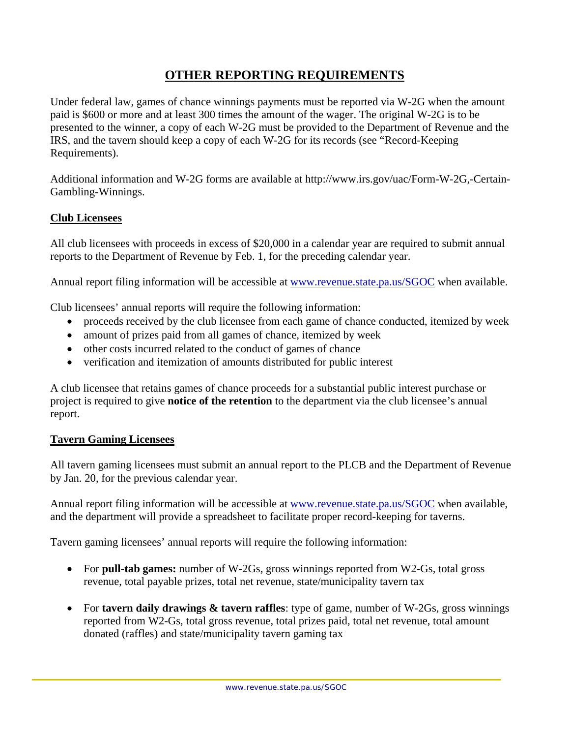## **OTHER REPORTING REQUIREMENTS**

Under federal law, games of chance winnings payments must be reported via W-2G when the amount paid is \$600 or more and at least 300 times the amount of the wager. The original W-2G is to be presented to the winner, a copy of each W-2G must be provided to the Department of Revenue and the IRS, and the tavern should keep a copy of each W-2G for its records (see "Record-Keeping Requirements).

Additional information and W-2G forms are available at http://www.irs.gov/uac/Form-W-2G,-Certain-Gambling-Winnings.

### **Club Licensees**

All club licensees with proceeds in excess of \$20,000 in a calendar year are required to submit annual reports to the Department of Revenue by Feb. 1, for the preceding calendar year.

Annual report filing information will be accessible at www.revenue.state.pa.us/SGOC when available.

Club licensees' annual reports will require the following information:

- proceeds received by the club licensee from each game of chance conducted, itemized by week
- amount of prizes paid from all games of chance, itemized by week
- other costs incurred related to the conduct of games of chance
- verification and itemization of amounts distributed for public interest

A club licensee that retains games of chance proceeds for a substantial public interest purchase or project is required to give **notice of the retention** to the department via the club licensee's annual report.

#### **Tavern Gaming Licensees**

All tavern gaming licensees must submit an annual report to the PLCB and the Department of Revenue by Jan. 20, for the previous calendar year.

Annual report filing information will be accessible at www.revenue.state.pa.us/SGOC when available, and the department will provide a spreadsheet to facilitate proper record-keeping for taverns.

Tavern gaming licensees' annual reports will require the following information:

- For **pull-tab games:** number of W-2Gs, gross winnings reported from W2-Gs, total gross revenue, total payable prizes, total net revenue, state/municipality tavern tax
- For **tavern daily drawings & tavern raffles**: type of game, number of W-2Gs, gross winnings reported from W2-Gs, total gross revenue, total prizes paid, total net revenue, total amount donated (raffles) and state/municipality tavern gaming tax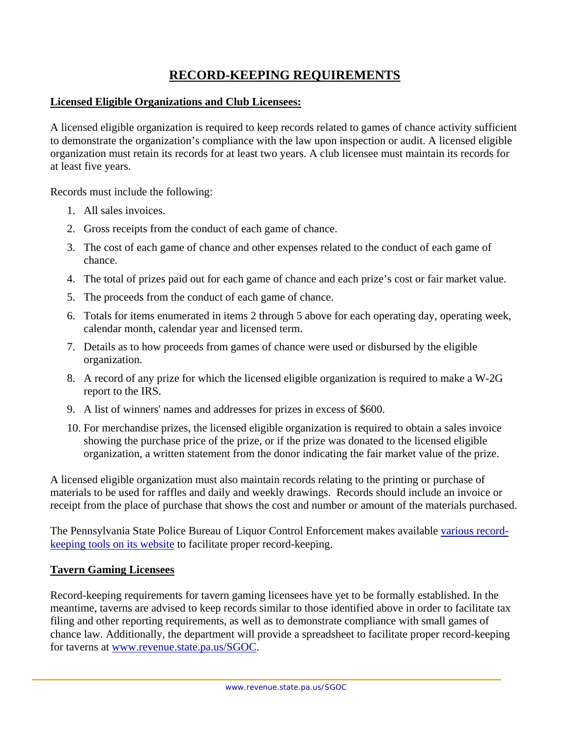## **RECORD-KEEPING REQUIREMENTS**

#### **Licensed Eligible Organizations and Club Licensees:**

A licensed eligible organization is required to keep records related to games of chance activity sufficient to demonstrate the organization's compliance with the law upon inspection or audit. A licensed eligible organization must retain its records for at least two years. A club licensee must maintain its records for at least five years.

Records must include the following:

- 1. All sales invoices.
- 2. Gross receipts from the conduct of each game of chance.
- 3. The cost of each game of chance and other expenses related to the conduct of each game of chance.
- 4. The total of prizes paid out for each game of chance and each prize's cost or fair market value.
- 5. The proceeds from the conduct of each game of chance.
- 6. Totals for items enumerated in items 2 through 5 above for each operating day, operating week, calendar month, calendar year and licensed term.
- 7. Details as to how proceeds from games of chance were used or disbursed by the eligible organization.
- 8. A record of any prize for which the licensed eligible organization is required to make a W-2G report to the IRS.
- 9. A list of winners' names and addresses for prizes in excess of \$600.
- 10. For merchandise prizes, the licensed eligible organization is required to obtain a sales invoice showing the purchase price of the prize, or if the prize was donated to the licensed eligible organization, a written statement from the donor indicating the fair market value of the prize.

A licensed eligible organization must also maintain records relating to the printing or purchase of materials to be used for raffles and daily and weekly drawings. Records should include an invoice or receipt from the place of purchase that shows the cost and number or amount of the materials purchased.

The Pennsylvania State Police Bureau of Liquor Control Enforcement makes available various recordkeeping tools on its website to facilitate proper record-keeping.

#### **Tavern Gaming Licensees**

Record-keeping requirements for tavern gaming licensees have yet to be formally established. In the meantime, taverns are advised to keep records similar to those identified above in order to facilitate tax filing and other reporting requirements, as well as to demonstrate compliance with small games of chance law. Additionally, the department will provide a spreadsheet to facilitate proper record-keeping for taverns at www.revenue.state.pa.us/SGOC.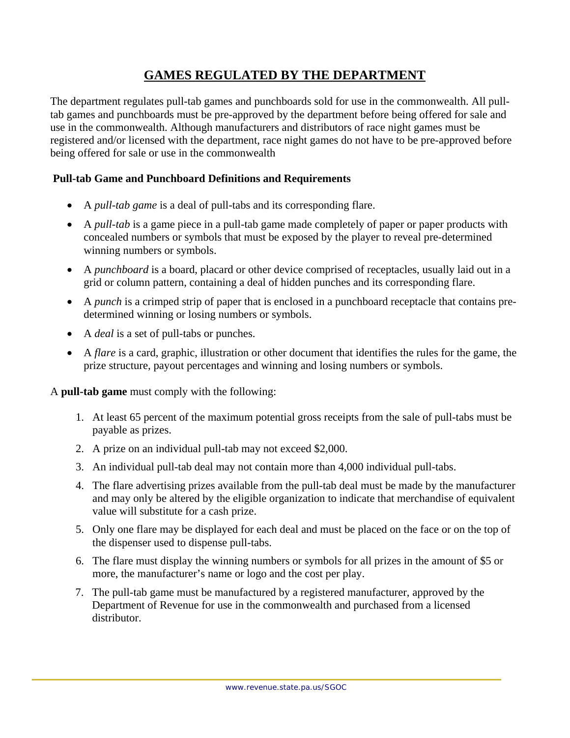# **GAMES REGULATED BY THE DEPARTMENT**

The department regulates pull-tab games and punchboards sold for use in the commonwealth. All pulltab games and punchboards must be pre-approved by the department before being offered for sale and use in the commonwealth. Although manufacturers and distributors of race night games must be registered and/or licensed with the department, race night games do not have to be pre-approved before being offered for sale or use in the commonwealth

## **Pull-tab Game and Punchboard Definitions and Requirements**

- A *pull-tab game* is a deal of pull-tabs and its corresponding flare.
- A *pull-tab* is a game piece in a pull-tab game made completely of paper or paper products with concealed numbers or symbols that must be exposed by the player to reveal pre-determined winning numbers or symbols.
- A *punchboard* is a board, placard or other device comprised of receptacles, usually laid out in a grid or column pattern, containing a deal of hidden punches and its corresponding flare.
- A *punch* is a crimped strip of paper that is enclosed in a punchboard receptacle that contains predetermined winning or losing numbers or symbols.
- A *deal* is a set of pull-tabs or punches.
- A *flare* is a card, graphic, illustration or other document that identifies the rules for the game, the prize structure, payout percentages and winning and losing numbers or symbols.

A **pull-tab game** must comply with the following:

- 1. At least 65 percent of the maximum potential gross receipts from the sale of pull-tabs must be payable as prizes.
- 2. A prize on an individual pull-tab may not exceed \$2,000.
- 3. An individual pull-tab deal may not contain more than 4,000 individual pull-tabs.
- 4. The flare advertising prizes available from the pull-tab deal must be made by the manufacturer and may only be altered by the eligible organization to indicate that merchandise of equivalent value will substitute for a cash prize.
- 5. Only one flare may be displayed for each deal and must be placed on the face or on the top of the dispenser used to dispense pull-tabs.
- 6. The flare must display the winning numbers or symbols for all prizes in the amount of \$5 or more, the manufacturer's name or logo and the cost per play.
- 7. The pull-tab game must be manufactured by a registered manufacturer, approved by the Department of Revenue for use in the commonwealth and purchased from a licensed distributor.